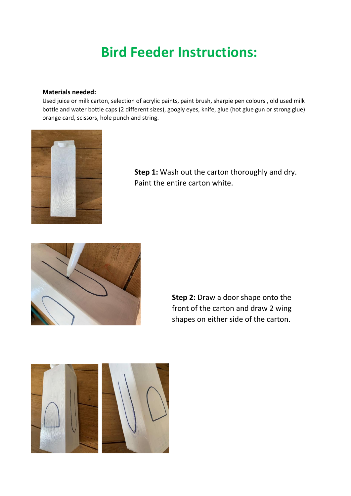## **Bird Feeder Instructions:**

## **Materials needed:**

Used juice or milk carton, selection of acrylic paints, paint brush, sharpie pen colours , old used milk bottle and water bottle caps (2 different sizes), googly eyes, knife, glue (hot glue gun or strong glue) orange card, scissors, hole punch and string.



**Step 1:** Wash out the carton thoroughly and dry. Paint the entire carton white.



**Step 2:** Draw a door shape onto the front of the carton and draw 2 wing shapes on either side of the carton.

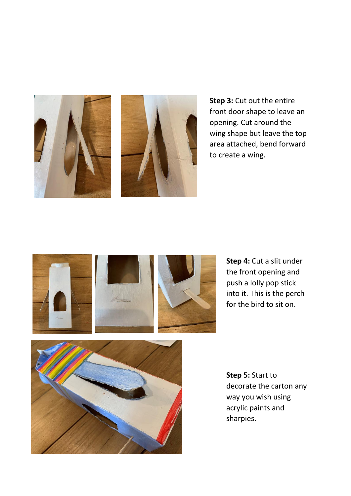



**Step 3:** Cut out the entire front door shape to leave an opening. Cut around the wing shape but leave the top area attached, bend forward to create a wing.



**Step 4:** Cut a slit under the front opening and push a lolly pop stick into it. This is the perch for the bird to sit on.



**Step 5:** Start to decorate the carton any way you wish using acrylic paints and sharpies.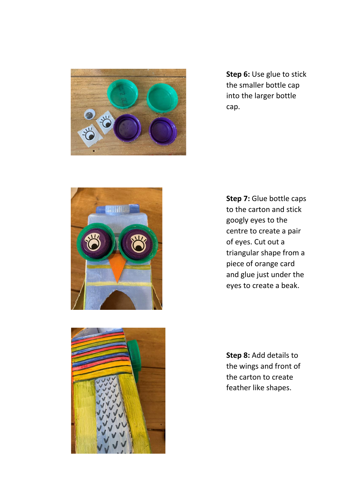

**Step 6:** Use glue to stick the smaller bottle cap into the larger bottle cap.



**Step 7:** Glue bottle caps to the carton and stick googly eyes to the centre to create a pair of eyes. Cut out a triangular shape from a piece of orange card and glue just under the eyes to create a beak.



**Step 8:** Add details to the wings and front of the carton to create feather like shapes.